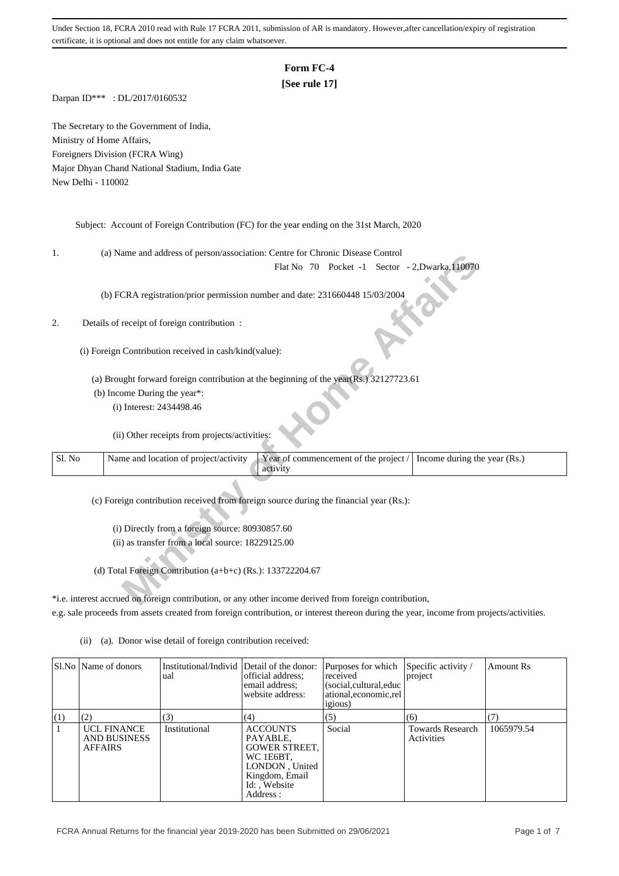# **Form FC-4**

## **[See rule 17]**

Darpan ID\*\*\* : DL/2017/0160532

The Secretary to the Government of India, Ministry of Home Affairs, Foreigners Division (FCRA Wing) Major Dhyan Chand National Stadium, India Gate New Delhi - 110002

Subject: Account of Foreign Contribution (FC) for the year ending on the 31st March, 2020

1. (a) Name and address of person/association: Centre for Chronic Disease Control

## 2. Details of receipt of foreign contribution :

| ı.     | (a) ivalue and address of person/association. Centre for Chronic Disease Control                       |
|--------|--------------------------------------------------------------------------------------------------------|
|        | Flat No 70 Pocket -1 Sector - 2, Dwarka, 110070                                                        |
|        |                                                                                                        |
|        | (b) FCRA registration/prior permission number and date: 231660448 15/03/2004                           |
|        |                                                                                                        |
|        | Details of receipt of foreign contribution :                                                           |
|        |                                                                                                        |
|        | (i) Foreign Contribution received in cash/kind(value):                                                 |
|        |                                                                                                        |
|        | (a) Brought forward foreign contribution at the beginning of the year(Rs.) 32127723.61                 |
|        | (b) Income During the year*:                                                                           |
|        | (i) Interest: 2434498.46                                                                               |
|        |                                                                                                        |
|        | (ii) Other receipts from projects/activities:                                                          |
| Sl. No | Name and location of project/activity                                                                  |
|        | Year of commencement of the project /<br>Income during the year (Rs.)<br>activity                      |
|        |                                                                                                        |
|        | (c) Foreign contribution received from foreign source during the financial year (Rs.):                 |
|        |                                                                                                        |
|        | (i) Directly from a foreign source: 80930857.60                                                        |
|        | (ii) as transfer from a local source: 18229125.00                                                      |
|        |                                                                                                        |
|        | (d) Total Foreign Contribution (a+b+c) (Rs.): $133722204.67$                                           |
|        |                                                                                                        |
|        | *i.e. interest accrued on foreign contribution, or any other income derived from foreign contribution, |
|        |                                                                                                        |

\*i.e. interest accrued on foreign contribution, or any other income derived from foreign contribution, e.g. sale proceeds from assets created from foreign contribution, or interest thereon during the year, income from projects/activities.

|     | SLNo Name of donors                                  | Institutional/Individ Detail of the donor:<br>ual | official address:<br>email address:<br>website address:                                                                         | Purposes for which<br>received<br>(social, cultural, educ<br>ational, economic, rel<br><i>igious</i> ) | Specific activity /<br>project        | Amount Rs  |
|-----|------------------------------------------------------|---------------------------------------------------|---------------------------------------------------------------------------------------------------------------------------------|--------------------------------------------------------------------------------------------------------|---------------------------------------|------------|
| (1) | (2)                                                  | (3)                                               | (4)                                                                                                                             | (5)                                                                                                    | (6)                                   |            |
|     | <b>UCL FINANCE</b><br>AND BUSINESS<br><b>AFFAIRS</b> | Institutional                                     | <b>ACCOUNTS</b><br>PAYABLE,<br><b>GOWER STREET,</b><br>WC 1E6BT,<br>LONDON, United<br>Kingdom, Email<br>Id: Website<br>Address: | Social                                                                                                 | <b>Towards Research</b><br>Activities | 1065979.54 |

(ii) (a). Donor wise detail of foreign contribution received: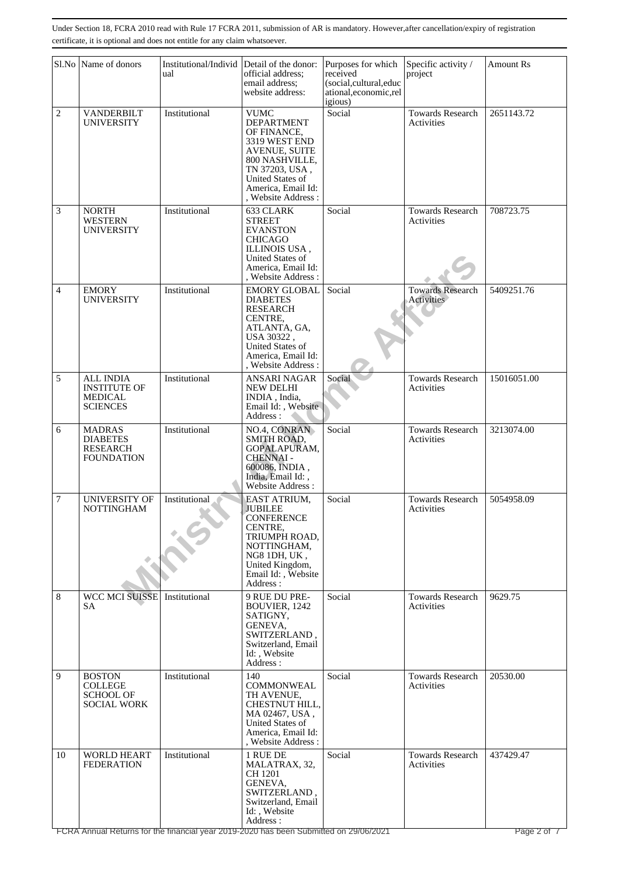|                | Sl.No Name of donors                                                      | Institutional/Individ<br>ual | Detail of the donor:<br>official address;<br>email address:<br>website address:                                                                                                                            | Purposes for which<br>received<br>(social,cultural,educ<br>ational, economic, rel<br>igious) | Specific activity /<br>project               | <b>Amount Rs</b>         |
|----------------|---------------------------------------------------------------------------|------------------------------|------------------------------------------------------------------------------------------------------------------------------------------------------------------------------------------------------------|----------------------------------------------------------------------------------------------|----------------------------------------------|--------------------------|
| $\overline{c}$ | <b>VANDERBILT</b><br>UNIVERSITY                                           | Institutional                | <b>VUMC</b><br><b>DEPARTMENT</b><br>OF FINANCE,<br>3319 WEST END<br><b>AVENUE, SUITE</b><br>800 NASHVILLE,<br>TN 37203, USA,<br>United States of<br>America, Email Id:<br>, Website Address:               | Social                                                                                       | <b>Towards Research</b><br>Activities        | 2651143.72               |
| 3              | <b>NORTH</b><br><b>WESTERN</b><br><b>UNIVERSITY</b>                       | Institutional                | 633 CLARK<br><b>STREET</b><br><b>EVANSTON</b><br><b>CHICAGO</b><br>ILLINOIS USA,<br><b>United States of</b><br>America, Email Id:<br>, Website Address:                                                    | Social                                                                                       | <b>Towards Research</b><br>Activities        | 708723.75                |
| 4              | <b>EMORY</b><br><b>UNIVERSITY</b>                                         | Institutional                | <b>EMORY GLOBAL</b><br><b>DIABETES</b><br><b>RESEARCH</b><br>CENTRE,<br>ATLANTA, GA,<br>USA 30322,<br>United States of<br>America, Email Id:<br>, Website Address:                                         | Social                                                                                       | <b>Towards Research</b><br><b>Activities</b> | 5409251.76               |
| 5              | <b>ALL INDIA</b><br><b>INSTITUTE OF</b><br>MEDICAL<br><b>SCIENCES</b>     | Institutional                | <b>ANSARI NAGAR</b><br><b>NEW DELHI</b><br>INDIA, India,<br>Email Id:, Website<br>Address:                                                                                                                 | Social                                                                                       | <b>Towards Research</b><br>Activities        | 15016051.00              |
| 6              | <b>MADRAS</b><br><b>DIABETES</b><br><b>RESEARCH</b><br><b>FOUNDATION</b>  | Institutional                | NO.4, CONRAN<br><b>SMITH ROAD,</b><br>GOPALAPURAM,<br><b>CHENNAI-</b><br>600086, INDIA,<br>India, Email Id:,<br>Website Address:                                                                           | Social                                                                                       | <b>Towards Research</b><br>Activities        | 3213074.00               |
| 7              | <b>UNIVERSITY OF</b><br><b>NOTTINGHAM</b>                                 | Institutional                | EAST ATRIUM,<br><b>JUBILEE</b><br><b>CONFERENCE</b><br>CENTRE,<br>TRIUMPH ROAD,<br>NOTTINGHAM,<br>NG8 1DH, UK,<br>United Kingdom,<br>Email Id:, Website<br>Address:                                        | Social                                                                                       | <b>Towards Research</b><br>Activities        | 5054958.09               |
| 8              | <b>WCC MCI SUISSE</b><br>SА                                               | Institutional                | 9 RUE DU PRE-<br>BOUVIER, 1242<br>SATIGNY,<br>GENEVA,<br>SWITZERLAND,<br>Switzerland, Email<br>Id:, Website<br>Address:                                                                                    | Social                                                                                       | <b>Towards Research</b><br>Activities        | 9629.75                  |
| 9              | <b>BOSTON</b><br><b>COLLEGE</b><br><b>SCHOOL OF</b><br><b>SOCIAL WORK</b> | Institutional                | 140<br><b>COMMONWEAL</b><br>TH AVENUE,<br>CHESTNUT HILL,<br>MA 02467, USA,<br>United States of<br>America, Email Id:<br>, Website Address:                                                                 | Social                                                                                       | <b>Towards Research</b><br>Activities        | 20530.00                 |
| 10             | <b>WORLD HEART</b><br><b>FEDERATION</b>                                   | Institutional                | 1 RUE DE<br>MALATRAX, 32,<br>CH 1201<br>GENEVA,<br>SWITZERLAND,<br>Switzerland, Email<br>Id:, Website<br>Address:<br>FCRA Annual Returns for the financial year 2019-2020 has been Submitted on 29/06/2021 | Social                                                                                       | <b>Towards Research</b><br>Activities        | 437429.47<br>Page 2 of 7 |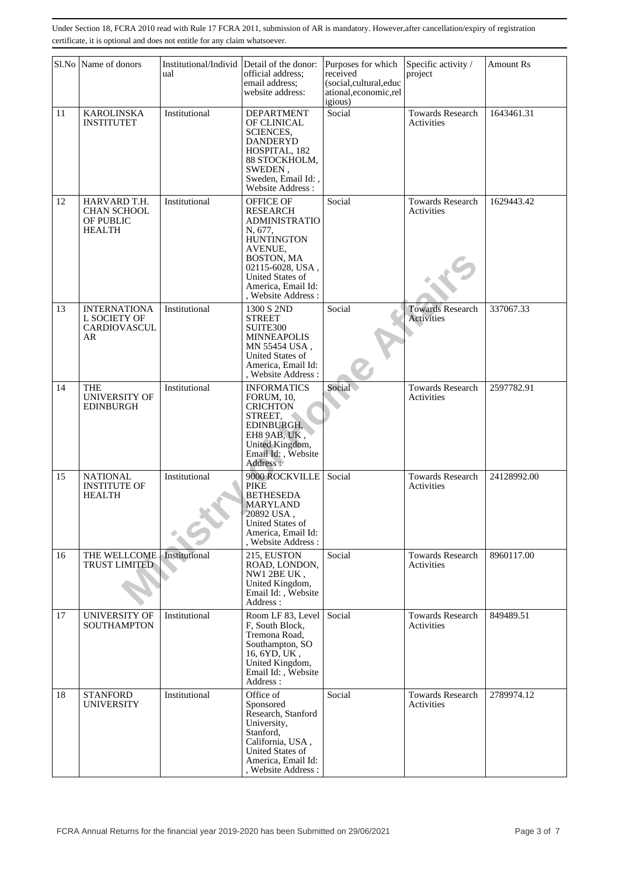|    | Sl.No Name of donors                                             | Institutional/Individ<br>ual | Detail of the donor:<br>official address;<br>email address:<br>website address:                                                                                                                   | Purposes for which<br>received<br>(social,cultural,educ<br>ational, economic, rel<br>igious) | Specific activity /<br>project        | Amount Rs   |
|----|------------------------------------------------------------------|------------------------------|---------------------------------------------------------------------------------------------------------------------------------------------------------------------------------------------------|----------------------------------------------------------------------------------------------|---------------------------------------|-------------|
| 11 | <b>KAROLINSKA</b><br><b>INSTITUTET</b>                           | Institutional                | <b>DEPARTMENT</b><br>OF CLINICAL<br><b>SCIENCES,</b><br><b>DANDERYD</b><br>HOSPITAL, 182<br>88 STOCKHOLM,<br>SWEDEN,<br>Sweden, Email Id:,<br>Website Address:                                    | Social                                                                                       | <b>Towards Research</b><br>Activities | 1643461.31  |
| 12 | HARVARD T.H.<br><b>CHAN SCHOOL</b><br>OF PUBLIC<br><b>HEALTH</b> | Institutional                | OFFICE OF<br><b>RESEARCH</b><br><b>ADMINISTRATIO</b><br>N, 677,<br><b>HUNTINGTON</b><br>AVENUE,<br>BOSTON, MA<br>02115-6028, USA,<br>United States of<br>America, Email Id:<br>. Website Address: | Social                                                                                       | <b>Towards Research</b><br>Activities | 1629443.42  |
| 13 | <b>INTERNATIONA</b><br>L SOCIETY OF<br><b>CARDIOVASCUL</b><br>AR | Institutional                | 1300 S 2ND<br><b>STREET</b><br>SUITE300<br><b>MINNEAPOLIS</b><br>MN 55454 USA,<br>United States of<br>America, Email Id:<br>, Website Address:                                                    | Social                                                                                       | <b>Towards Research</b><br>Activities | 337067.33   |
| 14 | <b>THE</b><br><b>UNIVERSITY OF</b><br><b>EDINBURGH</b>           | Institutional                | <b>INFORMATICS</b><br><b>FORUM</b> , 10,<br><b>CRICHTON</b><br>STREET,<br>EDINBURGH,<br>EH8 9AB, UK,<br>United Kingdom,<br>Email Id: , Website<br>Address:                                        | Social                                                                                       | <b>Towards Research</b><br>Activities | 2597782.91  |
| 15 | <b>NATIONAL</b><br><b>INSTITUTE OF</b><br><b>HEALTH</b>          | Institutional                | 9000 ROCKVILLE<br><b>PIKE</b><br><b>BETHESEDA</b><br><b>MARYLAND</b><br>20892 USA,<br>United States of<br>America, Email Id:<br>, Website Address:                                                | Social                                                                                       | <b>Towards Research</b><br>Activities | 24128992.00 |
| 16 | THE WELLCOME<br>TRUST LIMITED                                    | Institutional                | 215, EUSTON<br>ROAD, LONDON,<br>NW1 2BE UK,<br>United Kingdom,<br>Email Id:, Website<br>Address:                                                                                                  | Social                                                                                       | <b>Towards Research</b><br>Activities | 8960117.00  |
| 17 | <b>UNIVERSITY OF</b><br><b>SOUTHAMPTON</b>                       | Institutional                | Room LF 83, Level<br>F. South Block.<br>Tremona Road.<br>Southampton, SO<br>16, 6YD, UK,<br>United Kingdom,<br>Email Id:, Website<br>Address:                                                     | Social                                                                                       | <b>Towards Research</b><br>Activities | 849489.51   |
| 18 | <b>STANFORD</b><br><b>UNIVERSITY</b>                             | Institutional                | Office of<br>Sponsored<br>Research, Stanford<br>University,<br>Stanford,<br>California, USA,<br>United States of<br>America, Email Id:<br>, Website Address:                                      | Social                                                                                       | <b>Towards Research</b><br>Activities | 2789974.12  |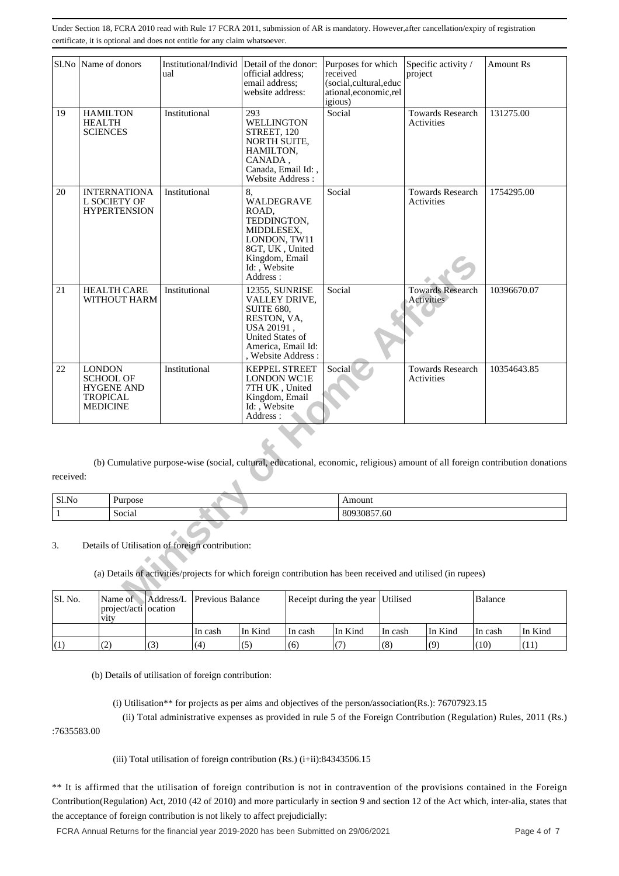| S1.No     |                                                     | Name of donors                                             | ual           | Institutional/Individ Detail of the donor:      | official address;<br>email address:<br>website address:                                                                                            | Purposes for which<br>received<br>(social, cultural, educ<br>ational,economic,rel<br>igious) | Specific activity /<br>project                                                                                                |         | <b>Amount Rs</b> |
|-----------|-----------------------------------------------------|------------------------------------------------------------|---------------|-------------------------------------------------|----------------------------------------------------------------------------------------------------------------------------------------------------|----------------------------------------------------------------------------------------------|-------------------------------------------------------------------------------------------------------------------------------|---------|------------------|
| 19        | <b>HAMILTON</b><br><b>HEALTH</b><br><b>SCIENCES</b> |                                                            | Institutional |                                                 | 293<br>WELLINGTON<br>STREET, 120<br>NORTH SUITE,<br>HAMILTON,<br>CANADA,<br>Canada, Email Id:,<br>Website Address:                                 | Social                                                                                       | <b>Towards Research</b><br>Activities                                                                                         |         | 131275.00        |
| 20        |                                                     | <b>INTERNATIONA</b><br>L SOCIETY OF<br><b>HYPERTENSION</b> | Institutional |                                                 | 8,<br><b>WALDEGRAVE</b><br>ROAD.<br>TEDDINGTON,<br>MIDDLESEX.<br>LONDON, TW11<br>8GT, UK, United<br>Kingdom, Email<br>Id:, Website<br>Address:     | Social                                                                                       | <b>Towards Research</b><br>Activities                                                                                         |         | 1754295.00       |
| 21        |                                                     | <b>HEALTH CARE</b><br>WITHOUT HARM                         | Institutional |                                                 | 12355, SUNRISE<br>VALLEY DRIVE,<br><b>SUITE 680,</b><br>RESTON, VA,<br>USA 20191,<br>United States of<br>America, Email Id:<br>, Website Address : | Social                                                                                       | <b>Towards Research</b><br><b>Activities</b>                                                                                  |         | 10396670.07      |
| 22        | <b>LONDON</b><br><b>TROPICAL</b><br><b>MEDICINE</b> | <b>SCHOOL OF</b><br><b>HYGENE AND</b>                      | Institutional |                                                 | <b>KEPPEL STREET</b><br><b>LONDON WC1E</b><br>7TH UK, United<br>Kingdom, Email<br>Id: , Website<br>Address:                                        | Social                                                                                       | <b>Towards Research</b><br>Activities                                                                                         |         | 10354643.85      |
| received: |                                                     |                                                            |               |                                                 |                                                                                                                                                    |                                                                                              | (b) Cumulative purpose-wise (social, cultural, educational, economic, religious) amount of all foreign contribution donations |         |                  |
| Sl.No     |                                                     | Purpose                                                    |               |                                                 |                                                                                                                                                    | Amount                                                                                       |                                                                                                                               |         |                  |
| 1         |                                                     | Social                                                     |               |                                                 |                                                                                                                                                    | 80930857.60                                                                                  |                                                                                                                               |         |                  |
| 3.        |                                                     |                                                            |               | Details of Utilisation of foreign contribution: |                                                                                                                                                    |                                                                                              | (a) Details of activities/projects for which foreign contribution has been received and utilised (in rupees)                  |         |                  |
| Sl. No.   |                                                     | Name of                                                    | Address/L     | Previous Balance                                |                                                                                                                                                    | Receipt during the year Utilised                                                             |                                                                                                                               | Balance |                  |

| Sl.No | Purpose       | Amount                    |
|-------|---------------|---------------------------|
|       | . .<br>Social | - -<br>7.60<br>കശരര<br>ov |

| Sl. No. | Name of<br>  project/acti   ocation<br><b>V1tV</b> |     | Address/L Previous Balance |         | Receipt during the year Utilised |         |         |         | Balance |         |
|---------|----------------------------------------------------|-----|----------------------------|---------|----------------------------------|---------|---------|---------|---------|---------|
|         |                                                    |     | In cash                    | In Kind | ∣In cash                         | In Kind | In cash | In Kind | In cash | In Kind |
|         | (2)                                                | (3) | (4)                        | (5)     | (6)                              |         | (8)     | (9)     | (10)    | Ί1      |

(b) Details of utilisation of foreign contribution:

(i) Utilisation\*\* for projects as per aims and objectives of the person/association(Rs.): 76707923.15

 (ii) Total administrative expenses as provided in rule 5 of the Foreign Contribution (Regulation) Rules, 2011 (Rs.) :7635583.00

(iii) Total utilisation of foreign contribution (Rs.) (i+ii):84343506.15

\*\* It is affirmed that the utilisation of foreign contribution is not in contravention of the provisions contained in the Foreign Contribution(Regulation) Act, 2010 (42 of 2010) and more particularly in section 9 and section 12 of the Act which, inter-alia, states that the acceptance of foreign contribution is not likely to affect prejudicially: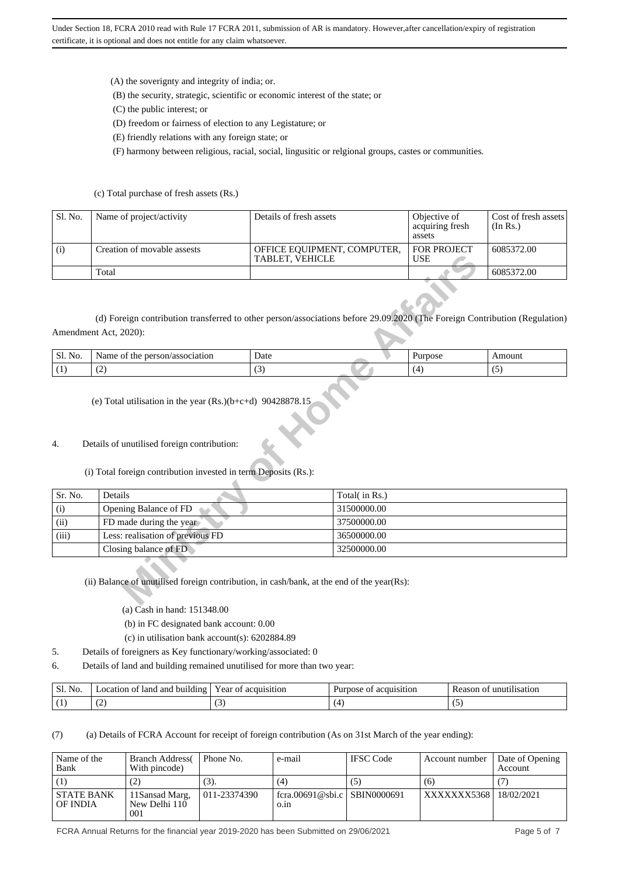(A) the soverignty and integrity of india; or.

- (B) the security, strategic, scientific or economic interest of the state; or
- (C) the public interest; or
- (D) freedom or fairness of election to any Legistature; or
- (E) friendly relations with any foreign state; or

(F) harmony between religious, racial, social, lingusitic or relgional groups, castes or communities.

#### (c) Total purchase of fresh assets (Rs.)

| Sl. No. | Name of project/activity    | Details of fresh assets                          | Objective of<br>acquiring fresh<br>assets | Cost of fresh assets<br>(In Rs.) |
|---------|-----------------------------|--------------------------------------------------|-------------------------------------------|----------------------------------|
| (i)     | Creation of movable assests | OFFICE EQUIPMENT, COMPUTER,<br>  TABLET. VEHICLE | <b>FOR PROJECT</b><br><b>USE</b>          | 6085372.00                       |
|         | Total                       |                                                  |                                           | 6085372.00                       |

| Sl.<br>No. | person/association<br>ame<br>.ne | Date | ™OS∪ | Amount  |
|------------|----------------------------------|------|------|---------|
|            | $\sim$<br>. <u>. .</u>           | . .  |      | $\cdot$ |

#### 4. Details of unutilised foreign contribution:

## (i) Total foreign contribution invested in term Deposits (Rs.):

|         |                                                                                                                                                     | TABLET, VEHICLE |               | <b>USE</b> |            |
|---------|-----------------------------------------------------------------------------------------------------------------------------------------------------|-----------------|---------------|------------|------------|
|         | Total                                                                                                                                               |                 |               |            | 6085372.00 |
|         | (d) Foreign contribution transferred to other person/associations before 29.09.2020 (The Foreign Contribution (Regulation)<br>Amendment Act, 2020): |                 |               |            |            |
| Sl. No. | Name of the person/association                                                                                                                      | Date            |               | Purpose    | Amount     |
| (1)     | (2)                                                                                                                                                 | (3)             |               | (4)        | (5)        |
| 4.      | Details of unutilised foreign contribution:<br>(i) Total foreign contribution invested in term Deposits (Rs.):                                      |                 |               |            |            |
| Sr. No. | Details                                                                                                                                             |                 | Total(in Rs.) |            |            |
| (i)     | Opening Balance of FD                                                                                                                               |                 | 31500000.00   |            |            |
| (ii)    | FD made during the year                                                                                                                             |                 | 37500000.00   |            |            |
| (iii)   | Less: realisation of previous FD                                                                                                                    |                 | 36500000.00   |            |            |
|         | Closing balance of FD                                                                                                                               |                 | 32500000.00   |            |            |
|         | (ii) Balance of unutilised foreign contribution, in cash/bank, at the end of the year(Rs):                                                          |                 |               |            |            |

(a) Cash in hand: 151348.00

(b) in FC designated bank account: 0.00

- (c) in utilisation bank account(s): 6202884.89
- 5. Details of foreigners as Key functionary/working/associated: 0
- 6. Details of land and building remained unutilised for more than two year:

| $\sim$<br><sub>S1</sub><br>No | .<br>í and building<br>' land<br>ocation<br>ΩŤ | . ear<br>ramsition<br>aс<br>nt | Purpose<br>quisition<br>аσ | satior<br>`∩n⊹ |
|-------------------------------|------------------------------------------------|--------------------------------|----------------------------|----------------|
| ( I                           | $\sim$                                         |                                |                            |                |

(7) (a) Details of FCRA Account for receipt of foreign contribution (As on 31st March of the year ending):

| Name of the<br>Bank           | <b>Branch Address</b><br>With pincode)  | Phone No.    | e-mail                               | <b>IFSC</b> Code | Account number | Date of Opening<br><b>Account</b> |
|-------------------------------|-----------------------------------------|--------------|--------------------------------------|------------------|----------------|-----------------------------------|
|                               | (2)                                     | (3).         | (4)                                  | (5)              | (6)            |                                   |
| <b>STATE BANK</b><br>OF INDIA | 11 Sansad Marg,<br>New Delhi 110<br>001 | 011-23374390 | fcra.00691@sbi.c SBIN0000691<br>0.1n |                  | XXXXXXX5368    | 18/02/2021                        |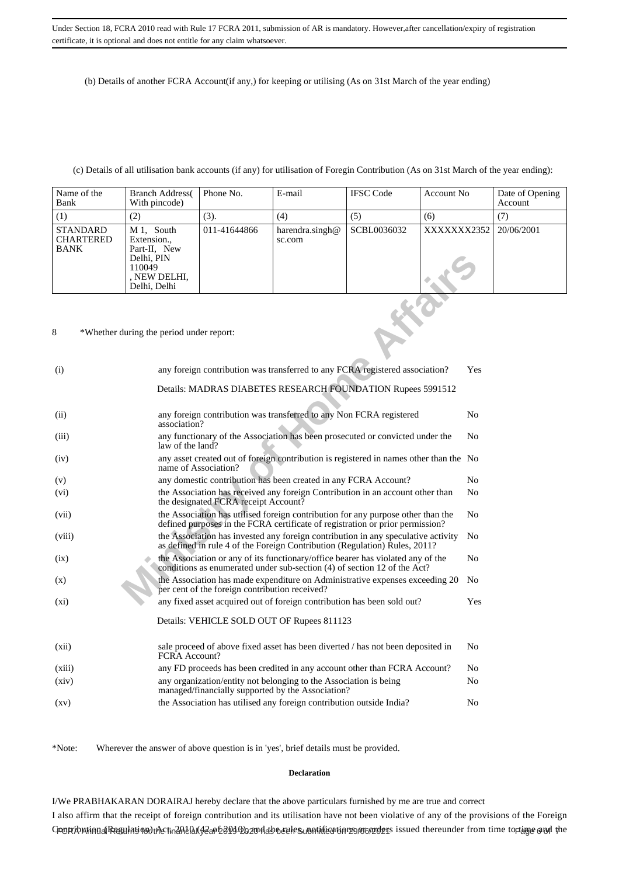(b) Details of another FCRA Account(if any,) for keeping or utilising (As on 31st March of the year ending)

### (c) Details of all utilisation bank accounts (if any) for utilisation of Foregin Contribution (As on 31st March of the year ending):

| Name of the<br>Bank                                | <b>Branch Address</b><br>With pincode)                                                            | Phone No.    | E-mail                       | <b>IFSC</b> Code | Account No             | Date of Opening<br>Account |
|----------------------------------------------------|---------------------------------------------------------------------------------------------------|--------------|------------------------------|------------------|------------------------|----------------------------|
| (1)                                                | (2)                                                                                               | (3).         | (4)                          | (5)              | (6)                    | (7)                        |
| <b>STANDARD</b><br><b>CHARTERED</b><br><b>BANK</b> | M 1, South<br>Extension.,<br>Part-II, New<br>Delhi, PIN<br>110049<br>, NEW DELHI,<br>Delhi, Delhi | 011-41644866 | harendra.singh $@$<br>sc.com | SCBL0036032      | XXXXXXX2352 20/06/2001 |                            |

#### 8 \*Whether during the period under report:

|                    |                                                                              | Delhi. PIN<br>110049<br>, NEW DELHI,<br>Delhi, Delhi                                                                                                            |                                                                                                                                                                   |                                                                                                                                                             |  |  |                |  |  |  |
|--------------------|------------------------------------------------------------------------------|-----------------------------------------------------------------------------------------------------------------------------------------------------------------|-------------------------------------------------------------------------------------------------------------------------------------------------------------------|-------------------------------------------------------------------------------------------------------------------------------------------------------------|--|--|----------------|--|--|--|
| 8                  |                                                                              | *Whether during the period under report:                                                                                                                        |                                                                                                                                                                   |                                                                                                                                                             |  |  |                |  |  |  |
| (i)                | any foreign contribution was transferred to any FCRA registered association? |                                                                                                                                                                 |                                                                                                                                                                   |                                                                                                                                                             |  |  |                |  |  |  |
|                    |                                                                              |                                                                                                                                                                 |                                                                                                                                                                   | Details: MADRAS DIABETES RESEARCH FOUNDATION Rupees 5991512                                                                                                 |  |  |                |  |  |  |
| (ii)               |                                                                              |                                                                                                                                                                 | any foreign contribution was transferred to any Non FCRA registered<br>association?                                                                               |                                                                                                                                                             |  |  |                |  |  |  |
| (iii)              |                                                                              |                                                                                                                                                                 | any functionary of the Association has been prosecuted or convicted under the<br>No<br>law of the land?                                                           |                                                                                                                                                             |  |  |                |  |  |  |
| (iv)               |                                                                              | any asset created out of foreign contribution is registered in names other than the No<br>name of Association?                                                  |                                                                                                                                                                   |                                                                                                                                                             |  |  |                |  |  |  |
| (v)                |                                                                              |                                                                                                                                                                 | any domestic contribution has been created in any FCRA Account?                                                                                                   |                                                                                                                                                             |  |  |                |  |  |  |
| (vi)               |                                                                              |                                                                                                                                                                 | the Association has received any foreign Contribution in an account other than<br>the designated FCRA receipt Account?                                            |                                                                                                                                                             |  |  |                |  |  |  |
| (vii)              |                                                                              |                                                                                                                                                                 | the Association has utilised foreign contribution for any purpose other than the<br>defined purposes in the FCRA certificate of registration or prior permission? |                                                                                                                                                             |  |  |                |  |  |  |
| (viii)             |                                                                              | the Association has invested any foreign contribution in any speculative activity<br>as defined in rule 4 of the Foreign Contribution (Regulation) Rules, 2011? |                                                                                                                                                                   |                                                                                                                                                             |  |  |                |  |  |  |
| (ix)               |                                                                              |                                                                                                                                                                 |                                                                                                                                                                   | the Association or any of its functionary/office bearer has violated any of the<br>conditions as enumerated under sub-section (4) of section 12 of the Act? |  |  | No             |  |  |  |
| (x)                |                                                                              |                                                                                                                                                                 | per cent of the foreign contribution received?                                                                                                                    | the Association has made expenditure on Administrative expenses exceeding 20                                                                                |  |  | N <sub>0</sub> |  |  |  |
| $(x_i)$            |                                                                              |                                                                                                                                                                 |                                                                                                                                                                   | any fixed asset acquired out of foreign contribution has been sold out?                                                                                     |  |  | Yes            |  |  |  |
|                    |                                                                              |                                                                                                                                                                 |                                                                                                                                                                   | Details: VEHICLE SOLD OUT OF Rupees 811123                                                                                                                  |  |  |                |  |  |  |
| (xii)              |                                                                              | FCRA Account?                                                                                                                                                   |                                                                                                                                                                   | sale proceed of above fixed asset has been diverted / has not been deposited in                                                                             |  |  | N <sub>0</sub> |  |  |  |
| (xiii)             |                                                                              |                                                                                                                                                                 |                                                                                                                                                                   | any FD proceeds has been credited in any account other than FCRA Account?                                                                                   |  |  | N <sub>0</sub> |  |  |  |
| (xiv)              |                                                                              | any organization/entity not belonging to the Association is being<br>managed/financially supported by the Association?                                          |                                                                                                                                                                   |                                                                                                                                                             |  |  |                |  |  |  |
| $\left( xy\right)$ |                                                                              |                                                                                                                                                                 |                                                                                                                                                                   | the Association has utilised any foreign contribution outside India?                                                                                        |  |  | No             |  |  |  |

\*Note: Wherever the answer of above question is in 'yes', brief details must be provided.

#### **Declaration**

I/We PRABHAKARAN DORAIRAJ hereby declare that the above particulars furnished by me are true and correct I also affirm that the receipt of foreign contribution and its utilisation have not been violative of any of the provisions of the Foreign GrondvationalReaulation)։Astin20LGl(A2ar26N12b2zonddboeulrs unatilisation29n0pzdzns issued thereunder from time tortage and the